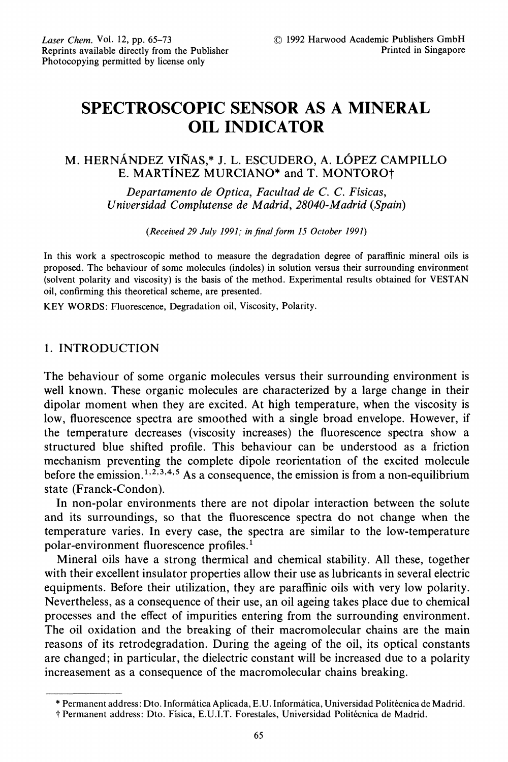# SPECTROSCOPIC SENSOR AS A MINERAL OIL INDICATOR

## M. HERNÁNDEZ VIÑAS.\* J. L. ESCUDERO, A. LÓPEZ CAMPILLO E. MARTINEZ MURCIANO\* and T. MONTORO†

Departamento de Optica, Facultad de C. C. Fisicas, Universidad Complutense de Madrid, 28040-Madrid (Spain)

(Received 29 July 1991; in final form 15 October 1991)

In this work a spectroscopic method to measure the degradation degree of paraffinic mineral oils is proposed. The behaviour of some molecules (indoles) in solution versus their surrounding environment (solvent polarity and viscosity) is the basis of the method. Experimental results obtained for VESTAN oil, confirming this theoretical scheme, are presented.

KEY WORDS: Fluorescence, Degradation oil, Viscosity, Polarity.

## 1. INTRODUCTION

The behaviour of some organic molecules versus their surrounding environment is well known. These organic molecules are characterized by a large change in their dipolar moment when they are excited. At high temperature, when the viscosity is low, fluorescence spectra are smoothed with a single broad envelope. However, if the temperature decreases (viscosity increases) the fluorescence spectra show a structured blue shifted profile. This behaviour can be understood as a friction mechanism preventing the complete dipole reorientation of the excited molecule before the emission.<sup>1,2,3,4,5</sup> As a consequence, the emission is from a non-equilibrium state (Franck-Condon).

In non-polar environments there are not dipolar interaction between the solute and its surroundings, so that the fluorescence spectra do not change when the temperature varies. In every case, the spectra are similar to the low-temperature polar-environment fluorescence profiles.

Mineral oils have a strong thermical and chemical stability. All these, together with their excellent insulator properties allow their use as lubricants in several electric equipments. Before their utilization, they are paraffinic oils with very low polarity. Nevertheless, as a consequence of their use, an oil ageing takes place due to chemical processes and the effect of impurities entering from the surrounding environment. The oil oxidation and the breaking of their macromolecular chains are the main reasons of its retrodegradation. During the ageing of the oil, its optical constants are changed; in particular, the dielectric constant will be increased due to a polarity increasement as a consequence of the macromolecular chains breaking.

<sup>\*</sup> Permanent address: Dto. Informfitica Aplicada, E.U. Informfitica, Universidad Polit6cnica de Madrid.

<sup>5&</sup>quot; Permanent address: Dto. Fisica, E.U.I.T. Forestales, Universidad Polit6cnica de Madrid.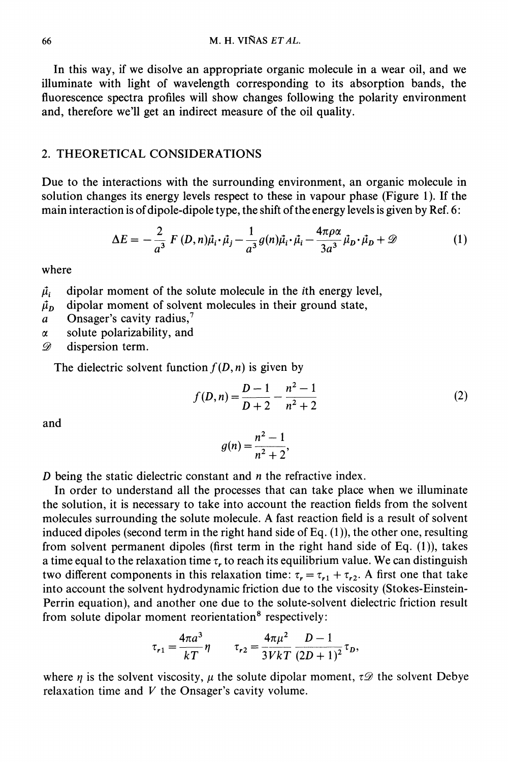In this way, if we disolve an appropriate organic molecule in a wear oil, and we illuminate with light of wavelength corresponding to its absorption bands, the fluorescence spectra profiles will show changes following the polarity environment and, therefore we'll get an indirect measure of the oil quality.

#### 2. THEORETICAL CONSIDERATIONS

Due to the interactions with the surrounding environment, an organic molecule in solution changes its energy levels respect to these in vapour phase (Figure 1). If the main interaction is of dipole-dipole type, the shift of the energy levels is given by Ref. 6:

$$
\Delta E = -\frac{2}{a^3} F(D, n)\vec{\mu}_i \cdot \vec{\mu}_j - \frac{1}{a^3} g(n)\vec{\mu}_i \cdot \vec{\mu}_i - \frac{4\pi\rho\alpha}{3a^3} \vec{\mu}_D \cdot \vec{\mu}_D + \mathcal{D}
$$
(1)  
moment of the solute molecule in the *i*th energy level,  
moment of solvent molecules in their ground state

where

 $\vec{\mu}$  dipolar moment of the solute molecule in the *i*th energy level,

 $\mu<sub>p</sub>$  dipolar moment of solvent molecules in their ground state,

- a Onsager's cavity radius,<sup>7</sup>
- $\alpha$  solute polarizability, and

D dispersion term.

The dielectric solvent function  $f(D, n)$  is given by

$$
f(D,n) = \frac{D-1}{D+2} - \frac{n^2-1}{n^2+2}
$$
 (2)

and

$$
g(n) = \frac{n^2 - 1}{n^2 + 2},
$$

D being the static dielectric constant and  $n$  the refractive index.

In order to understand all the processes that can take place when we illuminate the solution, it is necessary to take into account the reaction fields from the solvent molecules surrounding the solute molecule. A fast reaction field is <sup>a</sup> result of solvent induced dipoles (second term in the right hand side of Eq.  $(1)$ ), the other one, resulting from solvent permanent dipoles (first term in the right hand side of Eq. (1)), takes a time equal to the relaxation time  $\tau$ , to reach its equilibrium value. We can distinguish two different components in this relaxation time:  $\tau_r = \tau_{r1} + \tau_{r2}$ . A first one that take into account the solvent hydrodynamic friction due to the viscosity (Stokes-Einstein-Perrin equation), and another one due to the solute-solvent dielectric friction result from solute dipolar moment reorientation<sup>8</sup> respectively:

$$
\tau_{r1} = \frac{4\pi a^3}{kT} \eta \qquad \tau_{r2} = \frac{4\pi\mu^2}{3VkT} \frac{D-1}{(2D+1)^2} \tau_D,
$$

where  $\eta$  is the solvent viscosity,  $\mu$  the solute dipolar moment,  $\tau \mathscr{D}$  the solvent Debye relaxation time and  $V$  the Onsager's cavity volume.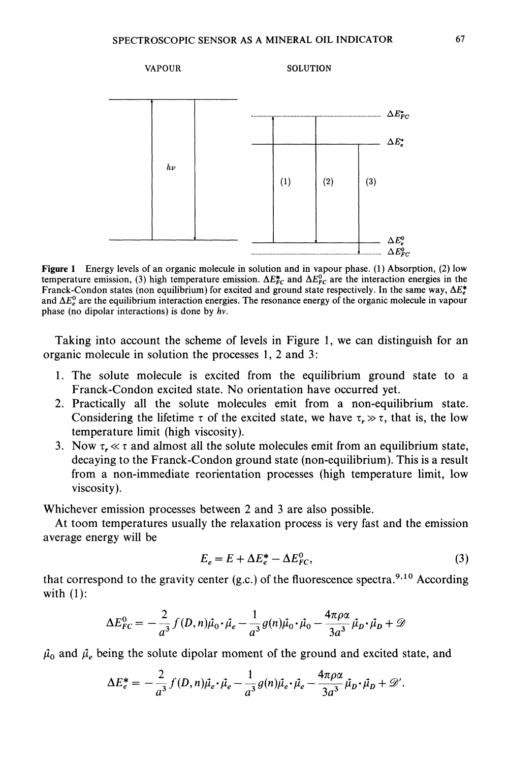

Figure 1 Energy levels of an organic molecule in solution and in vapour phase. (1) Absorption, (2) low temperature emission, (3) high temperature emission.  $\Delta E_{FC}^{*}$  and  $\Delta E_{FC}^{0}$  are the interaction energies in the Franck-Condon states (non equilibrium) for excited and ground state respectively. In the same way,  $\Delta E_e^*$ and  $\Delta E_e^0$  are the equilibrium interaction energies. The resonance energy of the organic molecule in vapour phase (no dipolar interactions) is done by  $hv$ .

Taking into account the scheme of levels in Figure 1, we can distinguish for an organic molecule in solution the processes 1, 2 and 3:

- 1. The solute molecule is excited from the equilibrium ground state to a Franck-Condon excited state. No orientation have occurred yet.
- 2. Practically all the solute molecules emit from a non-equilibrium state. Considering the lifetime  $\tau$  of the excited state, we have  $\tau \gg \tau$ , that is, the low temperature limit (high viscosity).
- 3. Now  $\tau$ ,  $\ll \tau$  and almost all the solute molecules emit from an equilibrium state, decaying to the Franck-Condon ground state (non-equilibrium). This is a result from a non-immediate reorientation processes (high temperature limit, low viscosity).

Whichever emission processes between 2 and 3 are also possible.

At toom temperatures usually the relaxation process is very fast and the emission average energy will be

$$
E_e = E + \Delta E_e^* - \Delta E_{FC}^0,\tag{3}
$$

that correspond to the gravity center  $(g.c.)$  of the fluorescence spectra.<sup>9,10</sup> According with  $(1)$ :

$$
\Delta E_{FC}^0 = -\frac{2}{a^3} f(D,n) \vec{\mu}_0 \cdot \vec{\mu}_e - \frac{1}{a^3} g(n) \vec{\mu}_0 \cdot \vec{\mu}_0 - \frac{4\pi\rho\alpha}{3a^3} \vec{\mu}_D \cdot \vec{\mu}_D + \mathcal{D}
$$

 $\mu_0$  and  $\mu_e$  being the solute dipolar moment of the ground and excited state, and

$$
\Delta E_e^* = -\frac{2}{a^3} f(D, n)\vec{\mu}_e \cdot \vec{\mu}_e - \frac{1}{a^3} g(n)\vec{\mu}_e \cdot \vec{\mu}_e - \frac{4\pi\rho\alpha}{3a^3} \vec{\mu}_D \cdot \vec{\mu}_D + \mathcal{D}'.
$$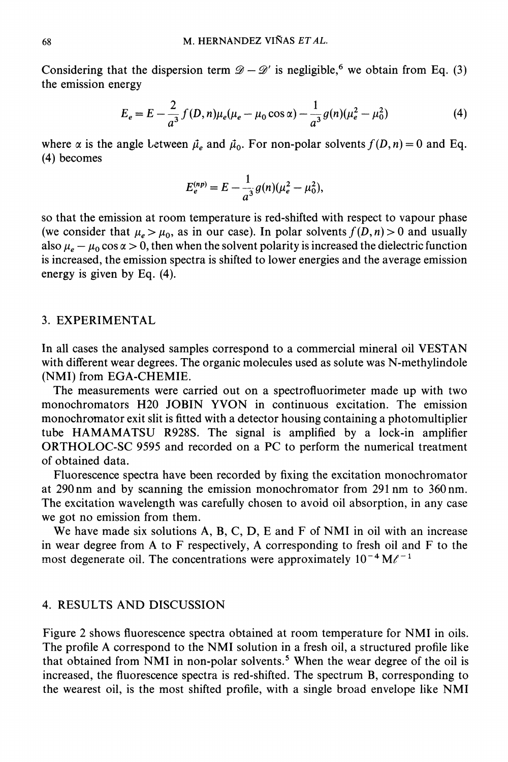Considering that the dispersion term  $\mathscr{D} - \mathscr{D}'$  is negligible,<sup>6</sup> we obtain from Eq. (3)  $y - y$ the emission energy

$$
E_e = E - \frac{2}{a^3} f(D, n) \mu_e (\mu_e - \mu_0 \cos \alpha) - \frac{1}{a^3} g(n) (\mu_e^2 - \mu_0^2)
$$
 (4)

where  $\alpha$  is the angle Letween  $\vec{\mu}_e$  and  $\vec{\mu}_0$ . For non-polar solvents  $f(D,n)=0$  and Eq. (4) becomes

$$
E_e^{(np)} = E - \frac{1}{a^3} g(n) (\mu_e^2 - \mu_0^2),
$$

so that the emission at room temperature is red-shifted with respect to vapour phase (we consider that  $\mu_e > \mu_0$ , as in our case). In polar solvents  $f(D,n) > 0$  and usually also  $\mu_e - \mu_0 \cos \alpha > 0$ , then when the solvent polarity is increased the dielectric function is increased, the emission spectra is shifted to lower energies and the average emission energy is given by Eq. (4).

#### 3. EXPERIMENTAL

In all cases the analysed samples correspond to <sup>a</sup> commercial mineral oil VESTAN with different wear degrees. The organic molecules used as solute was N-methylindole (NMI) from EGA-CHEMIE.

The measurements were carried out on a spectrofluorimeter made up with two monochromators H20 JOBIN YVON in continuous excitation. The emission monochrornator exit slit is fitted with a detector housing containing a photomultiplier tube HAMAMATSU R928S. The signal is amplified by <sup>a</sup> lock-in amplifier ORTHOLOC-SC <sup>9595</sup> and recorded on <sup>a</sup> PC to perform the numerical treatment of obtained data.

Fluorescence spectra have been recorded by fixing the excitation monochromator at 290nm and by scanning the emission monochromator from <sup>291</sup> nm to 360nm. The excitation wavelength was carefully chosen to avoid oil absorption, in any case we got no emission from them.

We have made six solutions  $A$ ,  $B$ ,  $C$ ,  $D$ ,  $E$  and  $F$  of NMI in oil with an increase in wear degree from A to F respectively, A corresponding to fresh oil and F to the most degenerate oil. The concentrations were approximately  $10^{-4} M<sup>{-1}</sup>$ 

# 4. RESULTS AND DISCUSSION

Figure <sup>2</sup> shows fluorescence spectra obtained at room temperature for NMI in oils. The profile A correspond to the NMI solution in <sup>a</sup> fresh oil, <sup>a</sup> structured profile like that obtained from NMI in non-polar solvents.<sup>5</sup> When the wear degree of the oil is increased, the fluorescence spectra is red-shifted. The spectrum B, corresponding to the wearest oil, is the most shifted profile, with <sup>a</sup> single broad envelope like NMI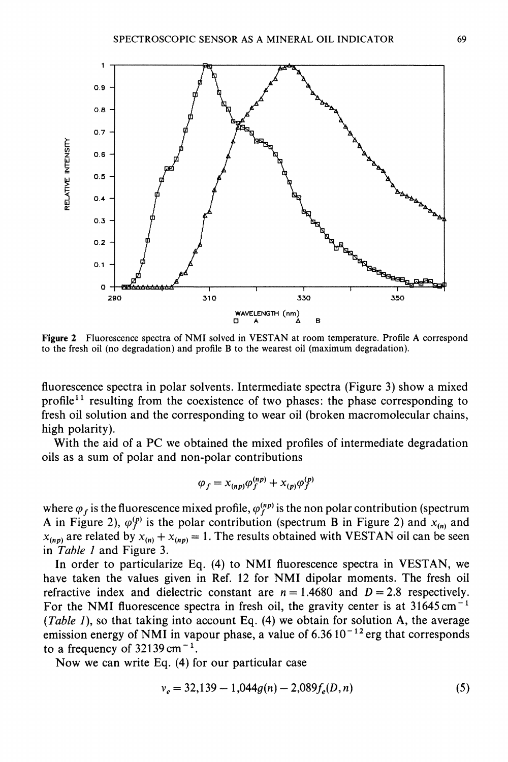

Figure 2 Fluorescence spectra of NMI solved in VESTAN at room temperature. Profile A correspond to the fresh oil (no degradation) and profile B to the wearest oil (maximum degradation).

fluorescence spectra in polar solvents. Intermediate spectra (Figure 3) show a mixed profile<sup>11</sup> resulting from the coexistence of two phases: the phase corresponding to fresh oil solution and the corresponding to wear oil (broken macromolecular chains, high polarity).

With the aid of <sup>a</sup> PC we obtained the mixed profiles of intermediate degradation oils as a sum of polar and non-polar contributions

$$
\varphi_f = x_{(np)} \varphi_f^{(np)} + x_{(p)} \varphi_f^{(p)}
$$

where  $\varphi_f$  is the fluorescence mixed profile,  $\varphi_f^{(np)}$  is the non polar contribution (spectrum A in Figure 2),  $\varphi_f^{(p)}$  is the polar contribution (spectrum B in Figure 2) and  $x_{(n)}$  and  $x_{(np)}$  are related by  $x_{(n)} + x_{(np)} = 1$ . The results obtained with VESTAN oil can be seen in Table <sup>1</sup> and Figure 3.

In order to particularize Eq. (4) to NMI fluorescence spectra in VESTAN, we have taken the values given in Ref. <sup>12</sup> for NMI dipolar moments. The fresh oil refractive index and dielectric constant are  $n = 1.4680$  and  $D = 2.8$  respectively. For the NMI fluorescence spectra in fresh oil, the gravity center is at  $31645 \text{ cm}^{-1}$ (Table 1), so that taking into account Eq.  $(4)$  we obtain for solution A, the average emission energy of NMI in vapour phase, a value of  $6.36\,10^{-12}$  erg that corresponds to a frequency of  $32139 \text{ cm}^{-1}$ .

Now we can write Eq. (4) for our particular case

$$
v_e = 32,139 - 1,044g(n) - 2,089f_e(D,n)
$$
\n<sup>(5)</sup>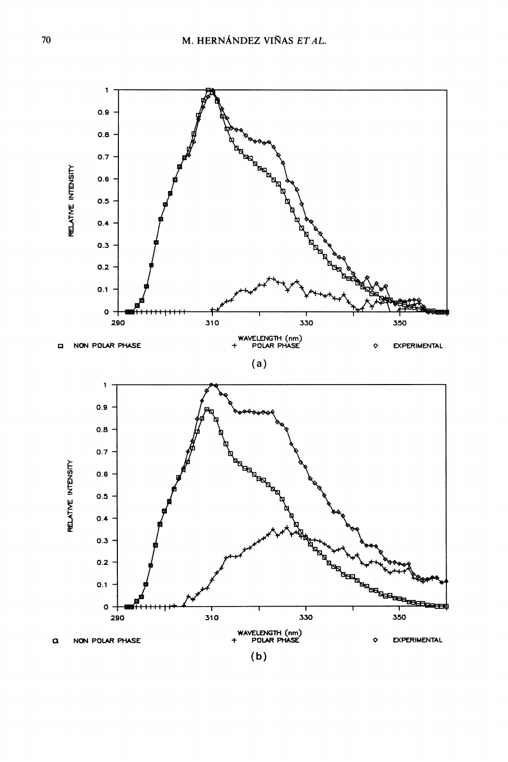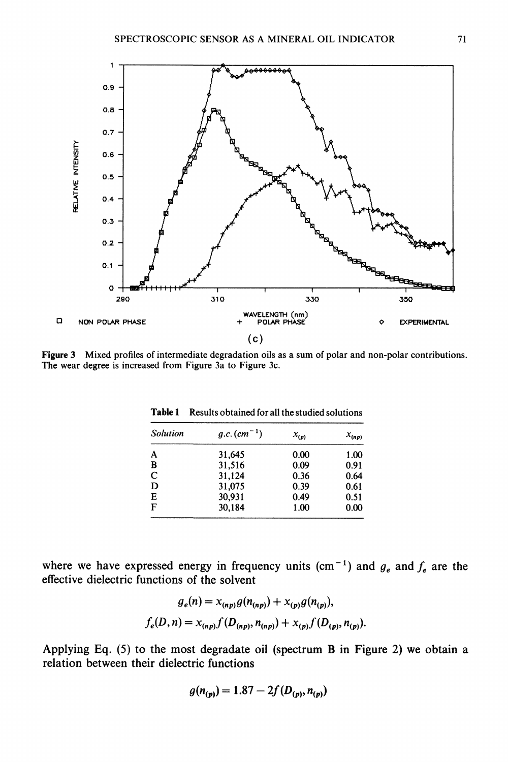

Figure 3 Mixed profiles of intermediate degradation oils as a sum of polar and non-polar contributions. The wear degree is increased from Figure 3a to Figure 3c.

| <b>Solution</b> | $g.c.$ $(cm-1)$ | $x_{(p)}$ | $x_{(np)}$ |
|-----------------|-----------------|-----------|------------|
| A               | 31,645          | 0.00      | 1.00       |
| B               | 31,516          | 0.09      | 0.91       |
| C               | 31,124          | 0.36      | 0.64       |
| D               | 31,075          | 0.39      | 0.61       |
| E               | 30.931          | 0.49      | 0.51       |
| F               | 30,184          | 1.00      | 0.00       |

Table 1 Results obtained for all the studied solutions

where we have expressed energy in frequency units (cm<sup>-1</sup>) and  $g_e$  and  $f_e$  are the effective dielectric functions of the solvent

$$
g_e(n) = x_{(np)}g(n_{(np)}) + x_{(p)}g(n_{(p)}),
$$
  

$$
f_e(D, n) = x_{(np)}f(D_{(np)}, n_{(np)}) + x_{(p)}f(D_{(p)}, n_{(p)}).
$$

Applying Eq. (5) to the most degradate oil (spectrum B in Figure 2) we obtain a relation between their dielectric functions

$$
g(n_{(p)}) = 1.87 - 2f(D_{(p)}, n_{(p)})
$$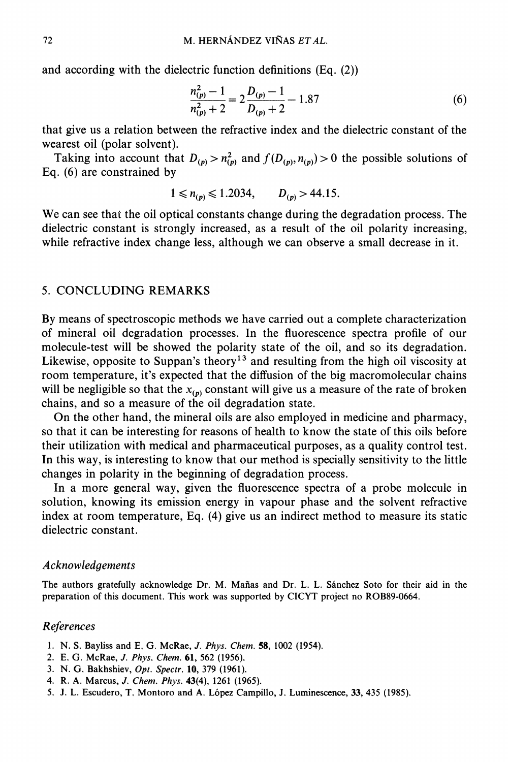and according with the dielectric function definitions (Eq. (2))

$$
\frac{n_{(p)}^2 - 1}{n_{(p)}^2 + 2} = 2\frac{D_{(p)} - 1}{D_{(p)} + 2} - 1.87\tag{6}
$$

that give us a relation between the refractive index and the dielectric constant of the wearest oil (polar solvent).

Taking into account that  $D_{(p)} > n_{(p)}^2$  and  $f(D_{(p)}, n_{(p)}) > 0$  the possible solutions of Eq. (6) are constrained by

$$
1 \leq n_{(p)} \leq 1.2034, \qquad D_{(p)} > 44.15.
$$

We can see that the oil optical constants change during the degradation process. The dielectric constant is strongly increased, as a result of the oil polarity increasing, while refractive index change less, although we can observe a small decrease in it.

#### 5. CONCLUDING REMARKS

By means of spectroscopic methods we have carried out a complete characterization of mineral oil degradation processes. In the fluorescence spectra profile of our molecule-test will be showed the polarity state of the oil, and so its degradation. Likewise, opposite to Suppan's theory<sup>13</sup> and resulting from the high oil viscosity at room temperature, it's expected that the diffusion of the big macromolecular chains will be negligible so that the  $x_{(p)}$  constant will give us a measure of the rate of broken chains, and so a measure of the oil degradation state.

On the other hand, the mineral oils are also employed in medicine and pharmacy, so that it can be interesting for reasons of health to know the state of this oils before their utilization with medical and pharmaceutical purposes, as a quality control test. In this way, is interesting to know that our method is specially sensitivity to the little changes in polarity in the beginning of degradation process.

In a more general way, given the fluorescence spectra of a probe molecule in solution, knowing its emission energy in vapour phase and the solvent refractive index at room temperature, Eq. (4) give us an indirect method to measure its static dielectric constant.

#### Acknowledgements

The authors gratefully acknowledge Dr. M. Mañas and Dr. L. L. Sánchez Soto for their aid in the preparation of this document. This work was supported by CICYT project no ROB89-0664.

#### References

- 1. N. S. Bayliss and E, G. McRae, J. Phys. Chem. 58, 1002 (1954).
- 2. E. G. McRae, J. Phys. Chem. 61, 562 (1956).
- 3. N. G. Bakhshiev, Opt. Spectr. 10, 379 (1961).
- 4. R. A. Marcus, J. Chem. Phys. 43(4), 1261 (1965).
- 5. J. L. Escudero, T, Montoro and A. L6pez Campillo, J. Luminescence, 33, 435 (1985).